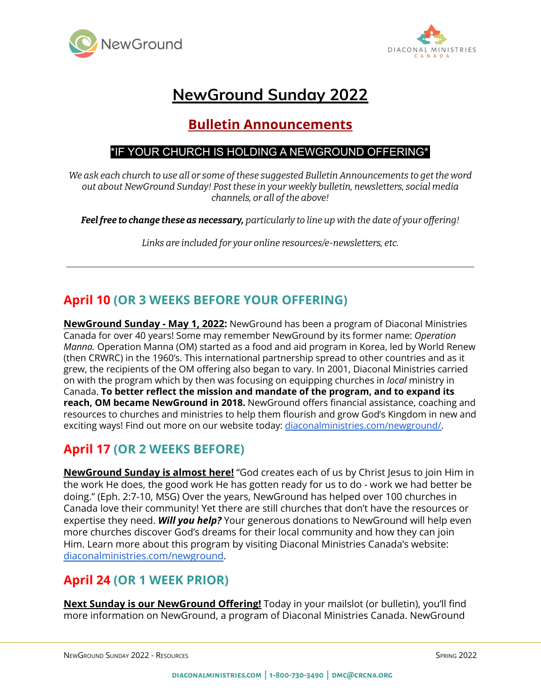



# **NewGround Sunday 2022**

## **Bulletin Announcements**

#### \*IF YOUR CHURCH IS HOLDING A NEWGROUND OFFERING\*

*We ask each church to use all or some of these suggested Bulletin Announcements to get the word out about NewGround Sunday! Post these in your weekly bulletin, newsletters, social media channels, or all of the above!*

*Feelfree to change these as necessary, particularly to line up with the date of your offering!*

*Links are included for your online resources/e-newsletters, etc.*

### **April 10 (OR 3 WEEKS BEFORE YOUR OFFERING)**

**NewGround Sunday - May 1, 2022:** NewGround has been a program of Diaconal Ministries Canada for over 40 years! Some may remember NewGround by its former name: *Operation Manna.* Operation Manna (OM) started as a food and aid program in Korea, led by World Renew (then CRWRC) in the 1960's. This international partnership spread to other countries and as it grew, the recipients of the OM offering also began to vary. In 2001, Diaconal Ministries carried on with the program which by then was focusing on equipping churches in *local* ministry in Canada. **To better reflect the mission and mandate of the program, and to expand its reach, OM became NewGround in 2018.** NewGround offers financial assistance, coaching and resources to churches and ministries to help them flourish and grow God's Kingdom in new and exciting ways! Find out more on our website today: [diaconalministries.com/newground/.](https://diaconalministries.com/newground/)

#### **April 17 (OR 2 WEEKS BEFORE)**

**NewGround Sunday is almost here!** "God creates each of us by Christ Jesus to join Him in the work He does, the good work He has gotten ready for us to do - work we had better be doing." (Eph. 2:7-10, MSG) Over the years, NewGround has helped over 100 churches in Canada love their community! Yet there are still churches that don't have the resources or expertise they need. *Will you help?* Your generous donations to NewGround will help even more churches discover God's dreams for their local community and how they can join Him. Learn more about this program by visiting Diaconal Ministries Canada's website: [diaconalministries.com/newground](https://diaconalministries.com/newground).

#### **April 24 (OR 1 WEEK PRIOR)**

**Next Sunday is our NewGround Offering!** Today in your mailslot (or bulletin), you'll find more information on NewGround, a program of Diaconal Ministries Canada. NewGround